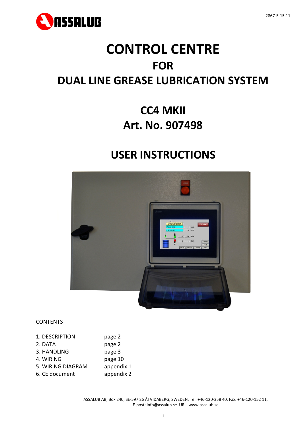

# **CONTROL CENTRE FOR DUAL LINE GREASE LUBRICATION SYSTEM**

## **CC4 MKII Art. No. 907498**

## **USER INSTRUCTIONS**



### **CONTENTS**

| 1. DESCRIPTION    | page 2     |
|-------------------|------------|
| 2. DATA           | page 2     |
| 3. HANDLING       | page 3     |
| 4. WIRING         | page 10    |
| 5. WIRING DIAGRAM | appendix 1 |
| 6. CE document    | appendix 2 |
|                   |            |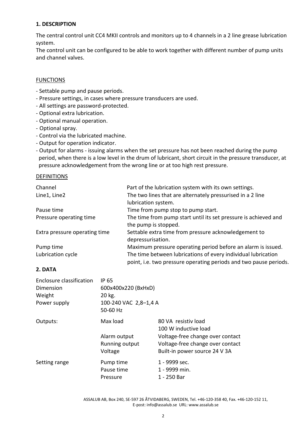### **1. DESCRIPTION**

The central control unit CC4 MKII controls and monitors up to 4 channels in a 2 line grease lubrication system.

The control unit can be configured to be able to work together with different number of pump units and channel valves.

### **FUNCTIONS**

- Settable pump and pause periods.
- Pressure settings, in cases where pressure transducers are used.
- All settings are password-protected.
- Optional extra lubrication.
- Optional manual operation.
- Optional spray.
- Control via the lubricated machine.
- Output for operation indicator.
- Output for alarms issuing alarms when the set pressure has not been reached during the pump period, when there is a low level in the drum of lubricant, short circuit in the pressure transducer, at pressure acknowledgement from the wrong line or at too high rest pressure.

### DEFINITIONS

| Channel                       | Part of the lubrication system with its own settings.             |
|-------------------------------|-------------------------------------------------------------------|
| Line1, Line2                  | The two lines that are alternately pressurised in a 2 line        |
|                               | lubrication system.                                               |
| Pause time                    | Time from pump stop to pump start.                                |
| Pressure operating time       | The time from pump start until its set pressure is achieved and   |
|                               | the pump is stopped.                                              |
| Extra pressure operating time | Settable extra time from pressure acknowledgement to              |
|                               | depressurisation.                                                 |
| Pump time                     | Maximum pressure operating period before an alarm is issued.      |
| Lubrication cycle             | The time between lubrications of every individual lubrication     |
|                               | point, i.e. two pressure operating periods and two pause periods. |

### **2. DATA**

| Enclosure classification | <b>IP 65</b>          |                                  |
|--------------------------|-----------------------|----------------------------------|
| Dimension                | 600x400x220 (BxHxD)   |                                  |
| Weight                   | 20 kg.                |                                  |
| Power supply             | 100-240 VAC 2,8-1,4 A |                                  |
|                          | 50-60 Hz              |                                  |
| Outputs:                 | Max load              | 80 VA resistiv load              |
|                          |                       | 100 W inductive load             |
|                          | Alarm output          | Voltage-free change over contact |
|                          | Running output        | Voltage-free change over contact |
|                          | Voltage               | Built-in power source 24 V 3A    |
| Setting range            | Pump time             | 1 - 9999 sec.                    |
|                          | Pause time            | 1 - 9999 min.                    |
|                          | Pressure              | 1 - 250 Bar                      |

ASSALUB AB, Box 240, SE-597 26 ÅTVIDABERG, SWEDEN, Tel. +46-120-358 40, Fax. +46-120-152 11, E-post: info@assalub.se URL: www.assalub.se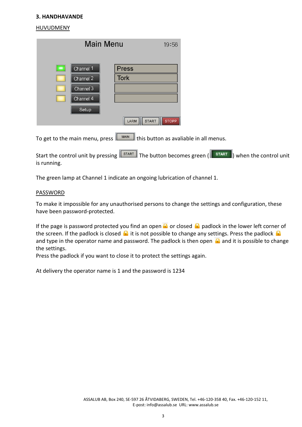### **3. HANDHAVANDE**

### **HUVUDMENY**

| <b>Main Menu</b>                         | 19:56                                |
|------------------------------------------|--------------------------------------|
| Channel 1<br>$\blacksquare$<br>Channel 2 | <b>Press</b><br><b>Tork</b>          |
| Channel 3<br>Channel 4                   |                                      |
| Setup                                    | <b>START</b><br>LARM<br><b>STOPP</b> |

To get to the main menu, press  $\lceil \frac{\text{MAIN}}{\text{this button}} \rceil$  as avaliable in all menus.

Start the control unit by pressing  $\sqrt{s_{\text{TART}}\over s_{\text{TART}}}\right)$  and the control unit of the control unit is running.

The green lamp at Channel 1 indicate an ongoing lubrication of channel 1.

### PASSWORD

To make it impossible for any unauthorised persons to change the settings and configuration, these have been password-protected.

If the page is password protected you find an open  $\Omega$  or closed  $\Omega$  padlock in the lower left corner of the screen. If the padlock is closed  $\bigcap$  it is not possible to change any settings. Press the padlock  $\bigcap$ and type in the operator name and password. The padlock is then open  $\Omega$  and it is possible to change the settings.

Press the padlock if you want to close it to protect the settings again.

At delivery the operator name is 1 and the password is 1234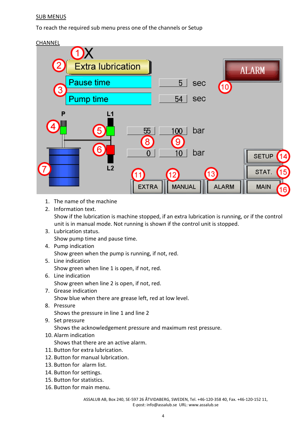### SUB MENUS

To reach the required sub menu press one of the channels or Setup



- 1. The name of the machine
- 2. Information text.

Show if the lubrication is machine stopped, if an extra lubrication is running, or if the control unit is in manual mode. Not running is shown if the control unit is stopped.

- 3. Lubrication status. Show pump time and pause time.
- 4. Pump indication

Show green when the pump is running, if not, red.

- 5. Line indication Show green when line 1 is open, if not, red.
- 6. Line indication Show green when line 2 is open, if not, red.
- 7. Grease indication Show blue when there are grease left, red at low level.
- 8. Pressure Shows the pressure in line 1 and line 2
- 9. Set pressure Shows the acknowledgement pressure and maximum rest pressure. 10. Alarm indication

Shows that there are an active alarm.

- 11. Button for extra lubrication.
- 12. Button for manual lubrication.
- 13. Button for alarm list.
- 14. Button for settings.
- 15. Button for statistics.
- 16. Button for main menu.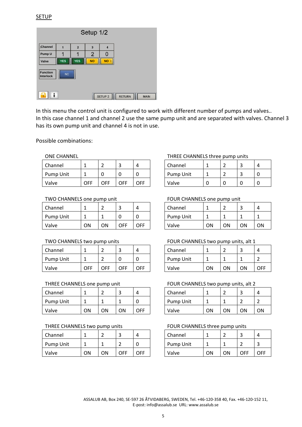| Setup 1/2             |            |                |                |                    |               |             |  |  |  |  |
|-----------------------|------------|----------------|----------------|--------------------|---------------|-------------|--|--|--|--|
| Channel               |            | $\overline{2}$ | $\overline{3}$ | 4                  |               |             |  |  |  |  |
| Pump U                |            |                | 2              |                    |               |             |  |  |  |  |
| Valve                 | <b>YES</b> | <b>YES</b>     | <b>NO</b>      | <b>NO</b>          |               |             |  |  |  |  |
| Function<br>Interlock | <b>NC</b>  |                |                |                    |               |             |  |  |  |  |
|                       |            |                |                | SETUP <sub>2</sub> | <b>RETURN</b> | <b>MAIN</b> |  |  |  |  |

In this menu the control unit is configured to work with different number of pumps and valves.. In this case channel 1 and channel 2 use the same pump unit and are separated with valves. Channel 3 has its own pump unit and channel 4 is not in use.

Possible combinations:

| Channel   |            |     | ∽<br>ے | $\prime$ | Channel   |  | - | Λ |
|-----------|------------|-----|--------|----------|-----------|--|---|---|
| Pump Unit |            |     |        |          | Pump Unit |  | - | 0 |
| Valve     | <b>OFF</b> | OFF | OFF    | OFF      | Valve     |  |   | 0 |

| Channel   |    |    |     | Δ   | Channel          |    |    |    |    |
|-----------|----|----|-----|-----|------------------|----|----|----|----|
| Pump Unit | ∸  |    |     |     | <b>Pump Unit</b> |    |    |    |    |
| Valve     | ON | ΟN | OFF | OFF | Valve            | ON | О٨ | ΟN | OΝ |

| Channel   |     |     |     |     | Channel   |    |    |    | 4   |
|-----------|-----|-----|-----|-----|-----------|----|----|----|-----|
| Pump Unit |     |     |     |     | Pump Unit |    |    |    |     |
| Valve     | OFF | OFF | OFF | OFF | Valve     | ΟN | ΟN | ΟN | OFF |

| Channel   |    |    |    |     | Channel          |    |    |    |    |
|-----------|----|----|----|-----|------------------|----|----|----|----|
| Pump Unit |    |    |    |     | <b>Pump Unit</b> |    |    |    |    |
| Valve     | ON | ΟN | ON | OFF | Valve            | ON | ΟN | ΟN | ΟN |

| Channel   |    |    |     | $\prime$ | Channel   |    |    |     | 4   |
|-----------|----|----|-----|----------|-----------|----|----|-----|-----|
| Pump Unit |    |    |     |          | Pump Unit |    |    |     | ے   |
| Valve     | ΟN | ΟN | OFF | OFF      | Valve     | ON | ΟN | OFF | OFF |

### ONE CHANNEL **THREE CHANNELS** three pump units

| Channel   |  |  |
|-----------|--|--|
| Pump Unit |  |  |
| Valve     |  |  |

### TWO CHANNELS one pump unit FOUR CHANNELS one pump unit

| Channel   |     |    |    |  |
|-----------|-----|----|----|--|
| Pump Unit |     |    |    |  |
| Valve     | וחר | nΝ | nΝ |  |

### TWO CHANNELS two pump units FOUR CHANNELS two pump units, alt 1

| Channel   |    |    |    |     |
|-----------|----|----|----|-----|
| Pump Unit |    |    |    |     |
| Valve     | ∩N | ωN | ΩN | ∩FF |

### THREE CHANNELS one pump unit FOUR CHANNELS two pump units, alt 2

| Channel   |    |    |    |     |
|-----------|----|----|----|-----|
| Pump Unit |    |    |    |     |
| Valve     | ∩N | nΝ | OΝ | וחר |

### THREE CHANNELS two pump units FOUR CHANNELS three pump units

| Channel   |    |    |     |     |
|-----------|----|----|-----|-----|
| Pump Unit |    |    |     |     |
| Valve     | ∩N | nΝ | ∩FF | ∩FF |

ASSALUB AB, Box 240, SE-597 26 ÅTVIDABERG, SWEDEN, Tel. +46-120-358 40, Fax. +46-120-152 11, E-post: info@assalub.se URL: www.assalub.se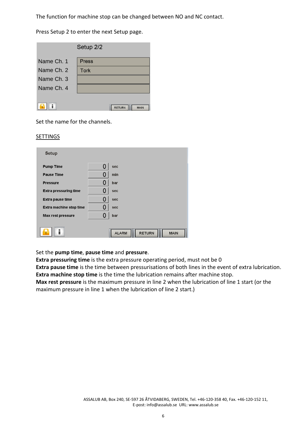The function for machine stop can be changed between NO and NC contact.

Press Setup 2 to enter the next Setup page.

| Setup 2/2  |                              |  |  |  |
|------------|------------------------------|--|--|--|
| Name Ch. 1 | <b>Press</b>                 |  |  |  |
| Name Ch. 2 | <b>Tork</b>                  |  |  |  |
| Name Ch. 3 |                              |  |  |  |
| Name Ch. 4 |                              |  |  |  |
|            | <b>RETURN</b><br><b>MAIN</b> |  |  |  |

Set the name for the channels.

### **SETTINGS**

| Setup                        |   |                                              |
|------------------------------|---|----------------------------------------------|
| <b>Pump Time</b>             |   | sec                                          |
| Pause Time                   | Ω | min                                          |
| <b>Pressure</b>              |   | bar                                          |
| <b>Extra pressuring time</b> |   | sec                                          |
| <b>Extra pause time</b>      |   | sec                                          |
| Extra machine stop time      |   | sec                                          |
| <b>Max rest pressure</b>     |   | bar                                          |
|                              |   | <b>RETURN</b><br><b>ALARM</b><br><b>MAIN</b> |

Set the **pump time**, **pause time** and **pressure**.

**Extra pressuring time** is the extra pressure operating period, must not be 0 **Extra pause time** is the time between pressurisations of both lines in the event of extra lubrication. **Extra machine stop time** is the time the lubrication remains after machine stop.

**Max rest pressure** is the maximum pressure in line 2 when the lubrication of line 1 start (or the maximum pressure in line 1 when the lubrication of line 2 start.)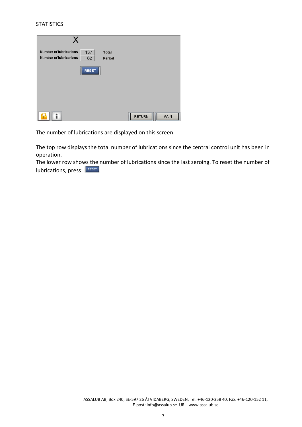### **STATISTICS**

| <b>Number of lubrications</b><br>137<br><b>Total</b><br><b>Number of lubrications</b><br>62<br>Period |                              |
|-------------------------------------------------------------------------------------------------------|------------------------------|
| <b>RESET</b>                                                                                          |                              |
|                                                                                                       |                              |
|                                                                                                       |                              |
|                                                                                                       | <b>RETURN</b><br><b>MAIN</b> |

The number of lubrications are displayed on this screen.

The top row displays the total number of lubrications since the central control unit has been in operation.

The lower row shows the number of lubrications since the last zeroing. To reset the number of  $|$ lubrications, press:  $|$ <sup>RESET</sup>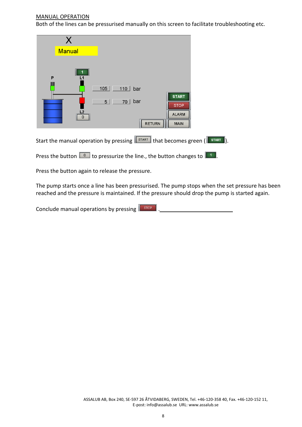### MANUAL OPERATION

Both of the lines can be pressurised manually on this screen to facilitate troubleshooting etc.

| <b>Manual</b> |                                                                                                                    |
|---------------|--------------------------------------------------------------------------------------------------------------------|
| P<br>L1<br>n  | 105<br>110<br>bar<br><b>START</b><br>bar<br>5<br>70<br><b>STOP</b><br><b>ALARM</b><br><b>RETURN</b><br><b>MAIN</b> |
|               | Start the manual operation by pressing start that becomes green (START                                             |

Press the button  $\boxed{\bullet}$  to pressurize the line., the button changes to  $\boxed{\bullet}$ .

Press the button again to release the pressure.

The pump starts once a line has been pressurised. The pump stops when the set pressure has been reached and the pressure is maintained. If the pressure should drop the pump is started again.

Conclude manual operations by pressing **F** stop **R** 2001 2001 2001 2008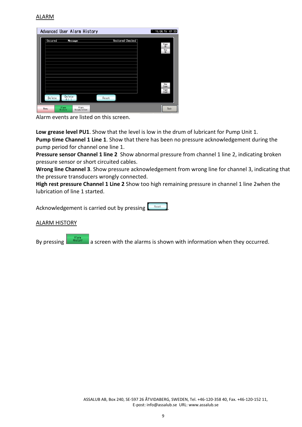### ALARM

|                | Advanced User Alarm History               |                         | 15.08.15 01:33                   |
|----------------|-------------------------------------------|-------------------------|----------------------------------|
| <b>Occured</b> | <b>Message</b>                            | <b>Restored Checked</b> |                                  |
|                |                                           |                         | Page<br>Up<br>Row<br><b>i</b> lo |
|                |                                           |                         |                                  |
|                |                                           |                         |                                  |
|                |                                           |                         |                                  |
|                |                                           |                         | Row                              |
|                |                                           |                         | Down<br>Page<br>Down             |
| <b>Delete</b>  | <b>Delete</b><br>A11                      | Reset                   |                                  |
| Menu           | Alarm<br>Alarm<br>History<br>Accumulation |                         | Back                             |

Alarm events are listed on this screen.

**Low grease level PU1**. Show that the level is low in the drum of lubricant for Pump Unit 1. **Pump time Channel 1 Line 1**. Show that there has been no pressure acknowledgement during the pump period for channel one line 1.

**Pressure sensor Channel 1 line 2** Show abnormal pressure from channel 1 line 2, indicating broken pressure sensor or short circuited cables.

**Wrong line Channel 3**. Show pressure acknowledgement from wrong line for channel 3, indicating that the pressure transducers wrongly connected.

**High rest pressure Channel 1 Line 2** Show too high remaining pressure in channel 1 line 2when the lubrication of line 1 started.

Acknowledgement is carried out by pressing

### ALARM HISTORY

By pressing  $\frac{a_{\text{Harm}}}{a}$  a screen with the alarms is shown with information when they occurred.